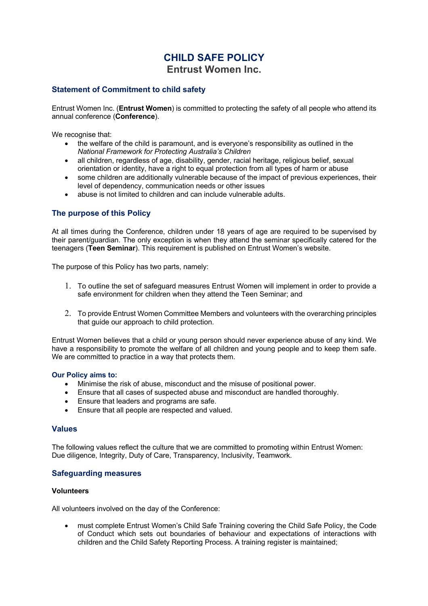# **CHILD SAFE POLICY Entrust Women Inc.**

# **Statement of Commitment to child safety**

Entrust Women Inc. (**Entrust Women**) is committed to protecting the safety of all people who attend its annual conference (**Conference**).

We recognise that:

- the welfare of the child is paramount, and is everyone's responsibility as outlined in the *National Framework for Protecting Australia's Children*
- all children, regardless of age, disability, gender, racial heritage, religious belief, sexual orientation or identity, have a right to equal protection from all types of harm or abuse
- some children are additionally vulnerable because of the impact of previous experiences, their level of dependency, communication needs or other issues
- abuse is not limited to children and can include vulnerable adults.

# **The purpose of this Policy**

At all times during the Conference, children under 18 years of age are required to be supervised by their parent/guardian. The only exception is when they attend the seminar specifically catered for the teenagers (**Teen Seminar**). This requirement is published on Entrust Women's website.

The purpose of this Policy has two parts, namely:

- 1. To outline the set of safeguard measures Entrust Women will implement in order to provide a safe environment for children when they attend the Teen Seminar; and
- 2. To provide Entrust Women Committee Members and volunteers with the overarching principles that guide our approach to child protection.

Entrust Women believes that a child or young person should never experience abuse of any kind. We have a responsibility to promote the welfare of all children and young people and to keep them safe. We are committed to practice in a way that protects them.

#### **Our Policy aims to:**

- Minimise the risk of abuse, misconduct and the misuse of positional power.
- Ensure that all cases of suspected abuse and misconduct are handled thoroughly.
- Ensure that leaders and programs are safe.
- Ensure that all people are respected and valued.

#### **Values**

The following values reflect the culture that we are committed to promoting within Entrust Women: Due diligence, Integrity, Duty of Care, Transparency, Inclusivity, Teamwork.

#### **Safeguarding measures**

#### **Volunteers**

All volunteers involved on the day of the Conference:

• must complete Entrust Women's Child Safe Training covering the Child Safe Policy, the Code of Conduct which sets out boundaries of behaviour and expectations of interactions with children and the Child Safety Reporting Process. A training register is maintained;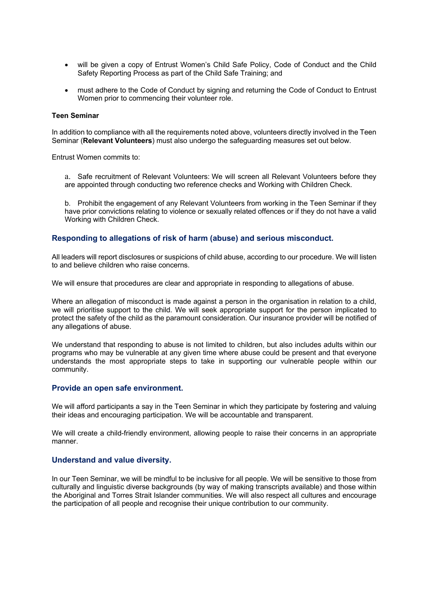- will be given a copy of Entrust Women's Child Safe Policy, Code of Conduct and the Child Safety Reporting Process as part of the Child Safe Training; and
- must adhere to the Code of Conduct by signing and returning the Code of Conduct to Entrust Women prior to commencing their volunteer role.

#### **Teen Seminar**

In addition to compliance with all the requirements noted above, volunteers directly involved in the Teen Seminar (**Relevant Volunteers**) must also undergo the safeguarding measures set out below.

Entrust Women commits to:

a. Safe recruitment of Relevant Volunteers: We will screen all Relevant Volunteers before they are appointed through conducting two reference checks and Working with Children Check.

b. Prohibit the engagement of any Relevant Volunteers from working in the Teen Seminar if they have prior convictions relating to violence or sexually related offences or if they do not have a valid Working with Children Check.

# **Responding to allegations of risk of harm (abuse) and serious misconduct.**

All leaders will report disclosures or suspicions of child abuse, according to our procedure. We will listen to and believe children who raise concerns.

We will ensure that procedures are clear and appropriate in responding to allegations of abuse.

Where an allegation of misconduct is made against a person in the organisation in relation to a child, we will prioritise support to the child. We will seek appropriate support for the person implicated to protect the safety of the child as the paramount consideration. Our insurance provider will be notified of any allegations of abuse.

We understand that responding to abuse is not limited to children, but also includes adults within our programs who may be vulnerable at any given time where abuse could be present and that everyone understands the most appropriate steps to take in supporting our vulnerable people within our community.

#### **Provide an open safe environment.**

We will afford participants a say in the Teen Seminar in which they participate by fostering and valuing their ideas and encouraging participation. We will be accountable and transparent.

We will create a child-friendly environment, allowing people to raise their concerns in an appropriate manner.

# **Understand and value diversity.**

In our Teen Seminar, we will be mindful to be inclusive for all people. We will be sensitive to those from culturally and linguistic diverse backgrounds (by way of making transcripts available) and those within the Aboriginal and Torres Strait Islander communities. We will also respect all cultures and encourage the participation of all people and recognise their unique contribution to our community.